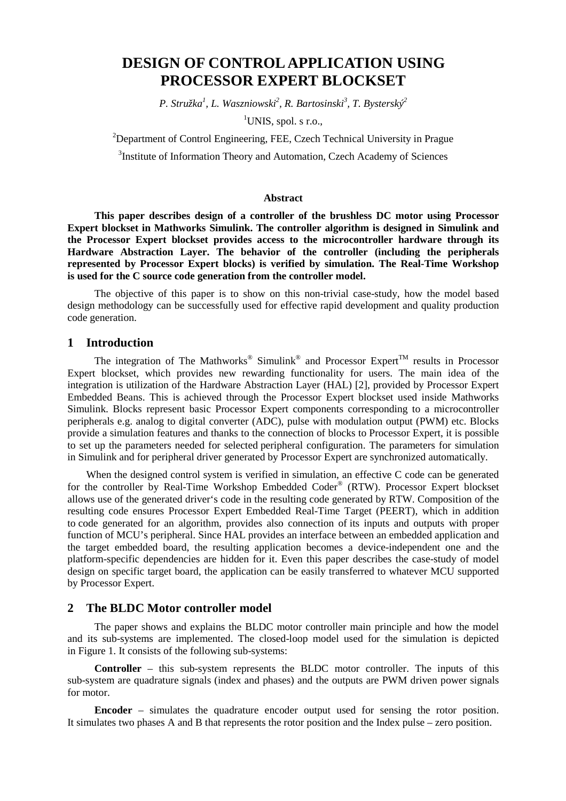# **DESIGN OF CONTROL APPLICATION USING PROCESSOR EXPERT BLOCKSET**

*P. Stružka<sup>1</sup> , L. Waszniowski<sup>2</sup> , R. Bartosinski<sup>3</sup> , T. Bysterský<sup>2</sup>*

<sup>1</sup>UNIS, spol. s r.o.,

 $2$ Department of Control Engineering, FEE, Czech Technical University in Prague

<sup>3</sup>Institute of Information Theory and Automation, Czech Academy of Sciences

#### **Abstract**

**This paper describes design of a controller of the brushless DC motor using Processor Expert blockset in Mathworks Simulink. The controller algorithm is designed in Simulink and the Processor Expert blockset provides access to the microcontroller hardware through its Hardware Abstraction Layer. The behavior of the controller (including the peripherals represented by Processor Expert blocks) is verified by simulation. The Real-Time Workshop is used for the C source code generation from the controller model.** 

The objective of this paper is to show on this non-trivial case-study, how the model based design methodology can be successfully used for effective rapid development and quality production code generation.

## **1 Introduction**

The integration of The Mathworks<sup>®</sup> Simulink<sup>®</sup> and Processor Expert<sup>™</sup> results in Processor Expert blockset, which provides new rewarding functionality for users. The main idea of the integration is utilization of the Hardware Abstraction Layer (HAL) [2], provided by Processor Expert Embedded Beans. This is achieved through the Processor Expert blockset used inside Mathworks Simulink. Blocks represent basic Processor Expert components corresponding to a microcontroller peripherals e.g. analog to digital converter (ADC), pulse with modulation output (PWM) etc. Blocks provide a simulation features and thanks to the connection of blocks to Processor Expert, it is possible to set up the parameters needed for selected peripheral configuration. The parameters for simulation in Simulink and for peripheral driver generated by Processor Expert are synchronized automatically.

When the designed control system is verified in simulation, an effective C code can be generated for the controller by Real-Time Workshop Embedded Coder® (RTW). Processor Expert blockset allows use of the generated driver's code in the resulting code generated by RTW. Composition of the resulting code ensures Processor Expert Embedded Real-Time Target (PEERT), which in addition to code generated for an algorithm, provides also connection of its inputs and outputs with proper function of MCU's peripheral. Since HAL provides an interface between an embedded application and the target embedded board, the resulting application becomes a device-independent one and the platform-specific dependencies are hidden for it. Even this paper describes the case-study of model design on specific target board, the application can be easily transferred to whatever MCU supported by Processor Expert.

# **2 The BLDC Motor controller model**

The paper shows and explains the BLDC motor controller main principle and how the model and its sub-systems are implemented. The closed-loop model used for the simulation is depicted in Figure 1. It consists of the following sub-systems:

**Controller** – this sub-system represents the BLDC motor controller. The inputs of this sub-system are quadrature signals (index and phases) and the outputs are PWM driven power signals for motor.

**Encoder** – simulates the quadrature encoder output used for sensing the rotor position. It simulates two phases A and B that represents the rotor position and the Index pulse – zero position.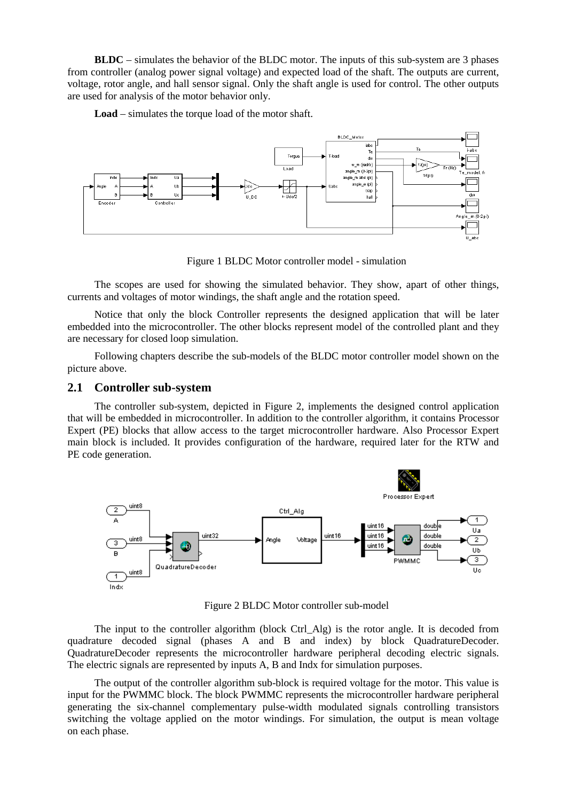**BLDC** – simulates the behavior of the BLDC motor. The inputs of this sub-system are 3 phases from controller (analog power signal voltage) and expected load of the shaft. The outputs are current, voltage, rotor angle, and hall sensor signal. Only the shaft angle is used for control. The other outputs are used for analysis of the motor behavior only.

Load – simulates the torque load of the motor shaft.



Figure 1 BLDC Motor controller model - simulation

The scopes are used for showing the simulated behavior. They show, apart of other things, currents and voltages of motor windings, the shaft angle and the rotation speed.

Notice that only the block Controller represents the designed application that will be later embedded into the microcontroller. The other blocks represent model of the controlled plant and they are necessary for closed loop simulation.

Following chapters describe the sub-models of the BLDC motor controller model shown on the picture above.

#### **2.1 Controller sub-system**

The controller sub-system, depicted in Figure 2, implements the designed control application that will be embedded in microcontroller. In addition to the controller algorithm, it contains Processor Expert (PE) blocks that allow access to the target microcontroller hardware. Also Processor Expert main block is included. It provides configuration of the hardware, required later for the RTW and PE code generation.



Figure 2 BLDC Motor controller sub-model

The input to the controller algorithm (block Ctrl\_Alg) is the rotor angle. It is decoded from quadrature decoded signal (phases A and B and index) by block QuadratureDecoder. QuadratureDecoder represents the microcontroller hardware peripheral decoding electric signals. The electric signals are represented by inputs A, B and Indx for simulation purposes.

The output of the controller algorithm sub-block is required voltage for the motor. This value is input for the PWMMC block. The block PWMMC represents the microcontroller hardware peripheral generating the six-channel complementary pulse-width modulated signals controlling transistors switching the voltage applied on the motor windings. For simulation, the output is mean voltage on each phase.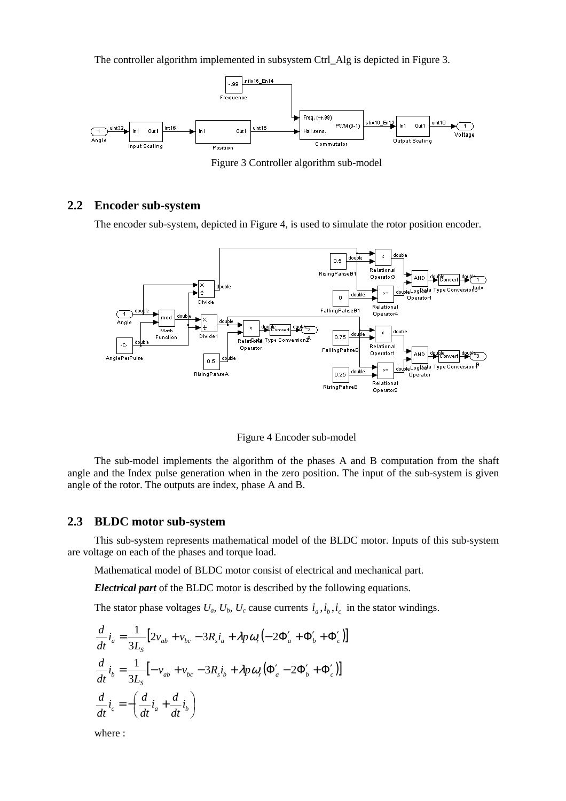The controller algorithm implemented in subsystem Ctrl\_Alg is depicted in Figure 3.



Figure 3 Controller algorithm sub-model

# **2.2 Encoder sub-system**

The encoder sub-system, depicted in Figure 4, is used to simulate the rotor position encoder.



Figure 4 Encoder sub-model

The sub-model implements the algorithm of the phases A and B computation from the shaft angle and the Index pulse generation when in the zero position. The input of the sub-system is given angle of the rotor. The outputs are index, phase A and B.

### **2.3 BLDC motor sub-system**

This sub-system represents mathematical model of the BLDC motor. Inputs of this sub-system are voltage on each of the phases and torque load.

Mathematical model of BLDC motor consist of electrical and mechanical part.

*Electrical part* of the BLDC motor is described by the following equations.

The stator phase voltages  $U_a$ ,  $U_b$ ,  $U_c$  cause currents  $i_a$ ,  $i_b$ ,  $i_c$  in the stator windings.

$$
\frac{d}{dt}\dot{i}_a = \frac{1}{3L_s} \left[ 2v_{ab} + v_{bc} - 3R_s\dot{i}_a + \lambda p\omega_r \left( -2\Phi'_a + \Phi'_b + \Phi'_c \right) \right]
$$
\n
$$
\frac{d}{dt}\dot{i}_b = \frac{1}{3L_s} \left[ -v_{ab} + v_{bc} - 3R_s\dot{i}_b + \lambda p\omega_r \left( \Phi'_a - 2\Phi'_b + \Phi'_c \right) \right]
$$
\n
$$
\frac{d}{dt}\dot{i}_c = -\left( \frac{d}{dt}\dot{i}_a + \frac{d}{dt}\dot{i}_b \right)
$$

where :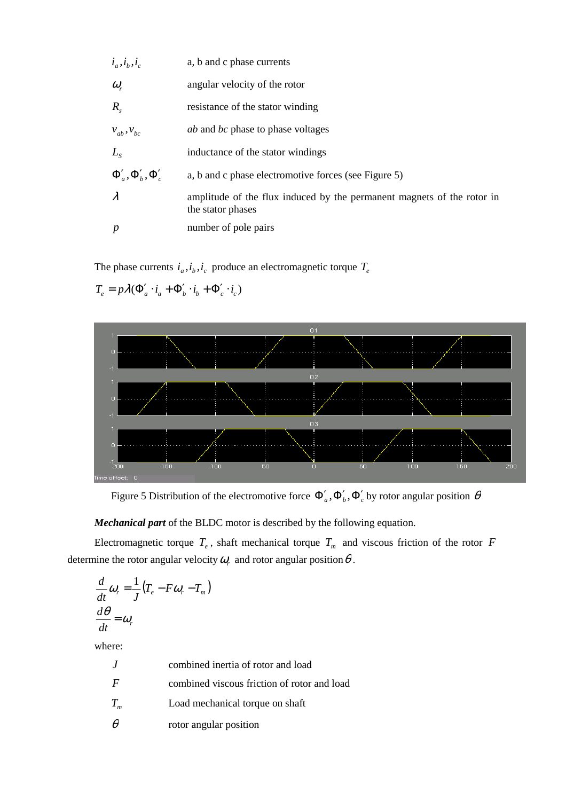| $i_a, i_b, i_c$             | a, b and c phase currents                                                                   |
|-----------------------------|---------------------------------------------------------------------------------------------|
| $\omega_{r}$                | angular velocity of the rotor                                                               |
| $R_{\rm s}$                 | resistance of the stator winding                                                            |
| $V_{ab}$ , $V_{bc}$         | <i>ab</i> and <i>bc</i> phase to phase voltages                                             |
| $L_{\rm s}$                 | inductance of the stator windings                                                           |
| $\Phi_a', \Phi_b', \Phi_c'$ | a, b and c phase electromotive forces (see Figure 5)                                        |
| $\lambda$                   | amplitude of the flux induced by the permanent magnets of the rotor in<br>the stator phases |
| $\boldsymbol{p}$            | number of pole pairs                                                                        |

The phase currents  $i_a$ ,  $i_b$ ,  $i_c$  produce an electromagnetic torque  $T_e$ 



 $T_e = p\lambda(\Phi'_a \cdot i_a + \Phi'_b \cdot i_b + \Phi'_c \cdot i_c)$ 

Figure 5 Distribution of the electromotive force  $\Phi'_a$ ,  $\Phi'_b$ ,  $\Phi'_c$  by rotor angular position  $\theta$ 

*Mechanical part* of the BLDC motor is described by the following equation.

Electromagnetic torque  $T_e$ , shaft mechanical torque  $T_m$  and viscous friction of the rotor  $F$ determine the rotor angular velocity  $\omega_r$  and rotor angular position  $\theta$ .

$$
\frac{d}{dt}\omega_r = \frac{1}{J}(T_e - F\omega_r - T_m)
$$

$$
\frac{d\theta}{dt} = \omega_r
$$

where:

| $\cdot$        | combined inertia of rotor and load          |
|----------------|---------------------------------------------|
| $\overline{F}$ | combined viscous friction of rotor and load |
| $T_{_m}$       | Load mechanical torque on shaft             |
| θ              | rotor angular position                      |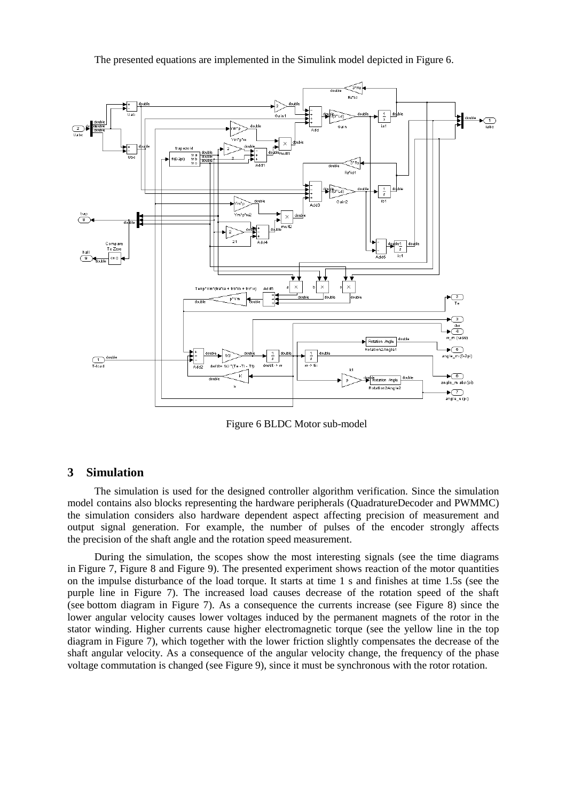The presented equations are implemented in the Simulink model depicted in Figure 6.



Figure 6 BLDC Motor sub-model

#### **3 Simulation**

The simulation is used for the designed controller algorithm verification. Since the simulation model contains also blocks representing the hardware peripherals (QuadratureDecoder and PWMMC) the simulation considers also hardware dependent aspect affecting precision of measurement and output signal generation. For example, the number of pulses of the encoder strongly affects the precision of the shaft angle and the rotation speed measurement.

During the simulation, the scopes show the most interesting signals (see the time diagrams in Figure 7, Figure 8 and Figure 9). The presented experiment shows reaction of the motor quantities on the impulse disturbance of the load torque. It starts at time 1 s and finishes at time 1.5s (see the purple line in Figure 7). The increased load causes decrease of the rotation speed of the shaft (see bottom diagram in Figure 7). As a consequence the currents increase (see Figure 8) since the lower angular velocity causes lower voltages induced by the permanent magnets of the rotor in the stator winding. Higher currents cause higher electromagnetic torque (see the yellow line in the top diagram in Figure 7), which together with the lower friction slightly compensates the decrease of the shaft angular velocity. As a consequence of the angular velocity change, the frequency of the phase voltage commutation is changed (see Figure 9), since it must be synchronous with the rotor rotation.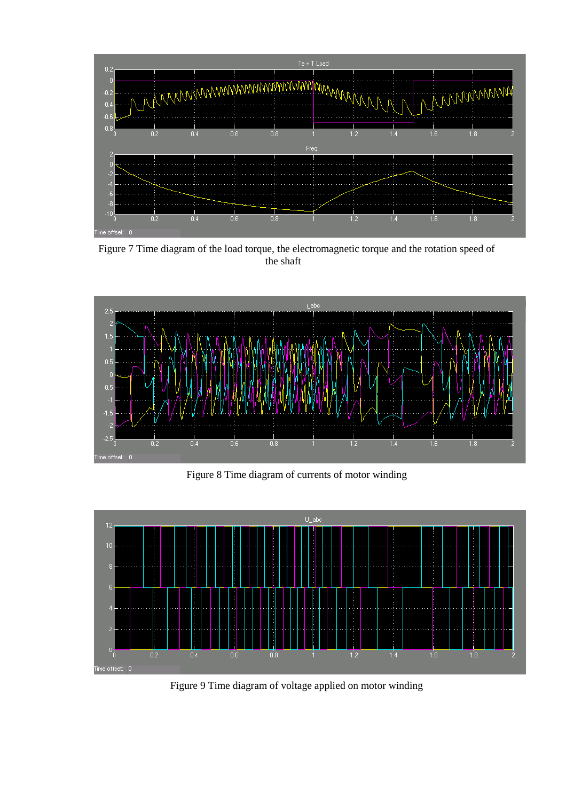

Figure 7 Time diagram of the load torque, the electromagnetic torque and the rotation speed of the shaft



Figure 8 Time diagram of currents of motor winding



Figure 9 Time diagram of voltage applied on motor winding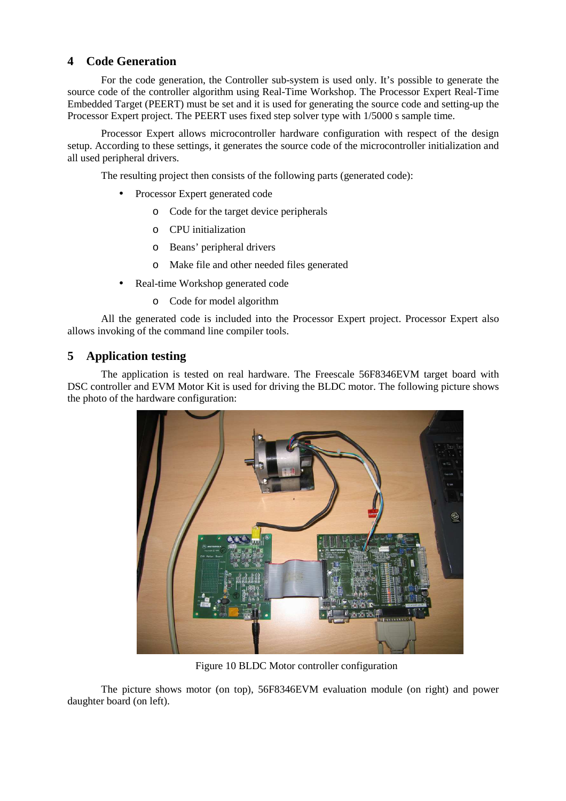# **4 Code Generation**

For the code generation, the Controller sub-system is used only. It's possible to generate the source code of the controller algorithm using Real-Time Workshop. The Processor Expert Real-Time Embedded Target (PEERT) must be set and it is used for generating the source code and setting-up the Processor Expert project. The PEERT uses fixed step solver type with 1/5000 s sample time.

Processor Expert allows microcontroller hardware configuration with respect of the design setup. According to these settings, it generates the source code of the microcontroller initialization and all used peripheral drivers.

The resulting project then consists of the following parts (generated code):

- Processor Expert generated code
	- o Code for the target device peripherals
	- o CPU initialization
	- o Beans' peripheral drivers
	- o Make file and other needed files generated
- Real-time Workshop generated code
	- o Code for model algorithm

All the generated code is included into the Processor Expert project. Processor Expert also allows invoking of the command line compiler tools.

# **5 Application testing**

The application is tested on real hardware. The Freescale 56F8346EVM target board with DSC controller and EVM Motor Kit is used for driving the BLDC motor. The following picture shows the photo of the hardware configuration:



Figure 10 BLDC Motor controller configuration

The picture shows motor (on top), 56F8346EVM evaluation module (on right) and power daughter board (on left).